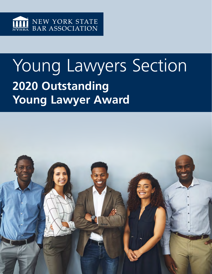

# Young Lawyers Section **2020 Outstanding Young Lawyer Award**

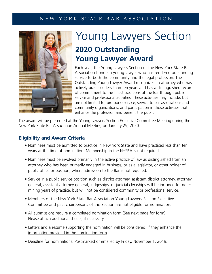### NEW YORK STATE BAR ASSOCIATION



## Young Lawyers Section **2020 Outstanding Young Lawyer Award**

Each year, the Young Lawyers Section of the New York State Bar Association honors a young lawyer who has rendered outstanding service to both the community and the legal profession. The Outstanding Young Lawyer Award recognizes an attorney who has actively practiced less than ten years and has a distinguished record of commitment to the finest traditions of the Bar through public service and professional activities. These activities may include, but are not limited to, pro bono service, service to bar associations and community organizations, and participation in those activities that enhance the profession and benefit the public.

The award will be presented at the Young Lawyers Section Executive Committee Meeting during the New York State Bar Association Annual Meeting on January 29, 2020.

### **Eligibility and Award Criteria**

- Nominees must be admitted to practice in New York State and have practiced less than ten years at the time of nomination. Membership in the NYSBA is not required.
- Nominees must be involved primarily in the active practice of law as distinguished from an attorney who has been primarily engaged in business, or as a legislator, or other holder of public office or position, where admission to the Bar is not required.
- Service in a public service position such as district attorney, assistant district attorney, attorney general, assistant attorney general, judgeships, or judicial clerkships will be included for determining years of practice, but will not be considered community or professional service.
- Members of the New York State Bar Association Young Lawyers Section Executive Committee and past chairpersons of the Section are not eligible for nomination.
- All submissions require a completed nomination form (See next page for form). Please attach additional sheets, if necessary.
- Letters and a resume supporting the nomination will be considered, if they enhance the information provided in the nomination form.
- Deadline for nominations: Postmarked or emailed by Friday, November 1, 2019.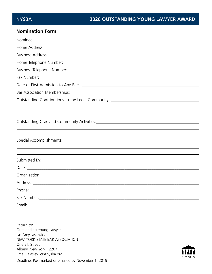#### **Nomination Form**

| Home Address: <u>Alexander Address and American and Address and Address and Address and Address and Address and Address and Address and Address and Address and Address and Address and Address and Address and Address and Addr</u> |
|--------------------------------------------------------------------------------------------------------------------------------------------------------------------------------------------------------------------------------------|
|                                                                                                                                                                                                                                      |
|                                                                                                                                                                                                                                      |
|                                                                                                                                                                                                                                      |
|                                                                                                                                                                                                                                      |
|                                                                                                                                                                                                                                      |
|                                                                                                                                                                                                                                      |
| Outstanding Contributions to the Legal Community: ______________________________                                                                                                                                                     |
|                                                                                                                                                                                                                                      |
|                                                                                                                                                                                                                                      |
|                                                                                                                                                                                                                                      |
|                                                                                                                                                                                                                                      |
|                                                                                                                                                                                                                                      |
|                                                                                                                                                                                                                                      |
| ,我们也不会有什么。""我们的人,我们也不会有什么?""我们的人,我们也不会有什么?""我们的人,我们也不会有什么?""我们的人,我们也不会有什么?""我们的人                                                                                                                                                     |
|                                                                                                                                                                                                                                      |
|                                                                                                                                                                                                                                      |
|                                                                                                                                                                                                                                      |
|                                                                                                                                                                                                                                      |
|                                                                                                                                                                                                                                      |
|                                                                                                                                                                                                                                      |
|                                                                                                                                                                                                                                      |

Return to: Outstanding Young Lawyer c/o Amy Jasiewicz NEW YORK STATE BAR ASSOCIATION One Elk Street Albany, New York 12207 Email: ajasiewicz@nysba.org Deadline: Postmarked or emailed by November 1, 2019